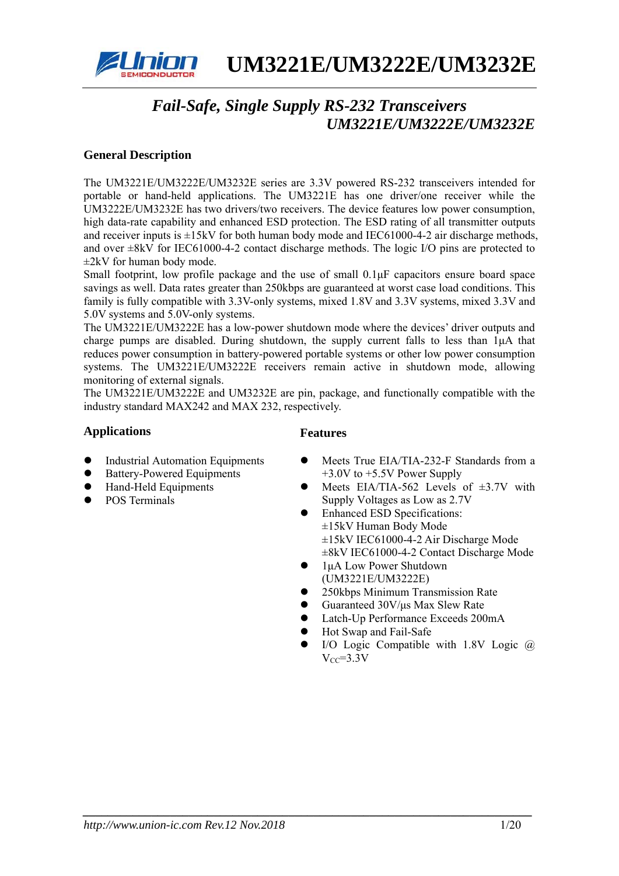

# *Fail-Safe, Single Supply RS-232 Transceivers UM3221E/UM3222E/UM3232E*

## **General Description**

The UM3221E/UM3222E/UM3232E series are 3.3V powered RS-232 transceivers intended for portable or hand-held applications. The UM3221E has one driver/one receiver while the UM3222E/UM3232E has two drivers/two receivers. The device features low power consumption, high data-rate capability and enhanced ESD protection. The ESD rating of all transmitter outputs and receiver inputs is  $\pm 15kV$  for both human body mode and IEC61000-4-2 air discharge methods, and over  $\pm 8kV$  for IEC61000-4-2 contact discharge methods. The logic I/O pins are protected to  $\pm$ 2kV for human body mode.

Small footprint, low profile package and the use of small 0.1μF capacitors ensure board space savings as well. Data rates greater than 250kbps are guaranteed at worst case load conditions. This family is fully compatible with 3.3V-only systems, mixed 1.8V and 3.3V systems, mixed 3.3V and 5.0V systems and 5.0V-only systems.

The UM3221E/UM3222E has a low-power shutdown mode where the devices' driver outputs and charge pumps are disabled. During shutdown, the supply current falls to less than 1μA that reduces power consumption in battery-powered portable systems or other low power consumption systems. The UM3221E/UM3222E receivers remain active in shutdown mode, allowing monitoring of external signals.

The UM3221E/UM3222E and UM3232E are pin, package, and functionally compatible with the industry standard MAX242 and MAX 232, respectively.

*\_\_\_\_\_\_\_\_\_\_\_\_\_\_\_\_\_\_\_\_\_\_\_\_\_\_\_\_\_\_\_\_\_\_\_\_\_\_\_\_\_\_\_\_\_\_\_\_\_\_\_\_\_\_\_\_\_\_\_\_\_\_\_\_\_\_\_\_\_\_\_\_* 

## Applications **Features**

- Industrial Automation Equipments
- Battery-Powered Equipments
- Hand-Held Equipments
- POS Terminals
- Meets True EIA/TIA-232-F Standards from a +3.0V to +5.5V Power Supply
- Meets EIA/TIA-562 Levels of  $\pm 3.7V$  with Supply Voltages as Low as 2.7V
- Enhanced ESD Specifications: ±15kV Human Body Mode ±15kV IEC61000-4-2 Air Discharge Mode ±8kV IEC61000-4-2 Contact Discharge Mode
- $\bullet$  1µA Low Power Shutdown (UM3221E/UM3222E)
- z 250kbps Minimum Transmission Rate
- z Guaranteed 30V/μs Max Slew Rate
- Latch-Up Performance Exceeds 200mA
- Hot Swap and Fail-Safe
- I/O Logic Compatible with  $1.8V$  Logic  $@$  $V_{CC} = 3.3V$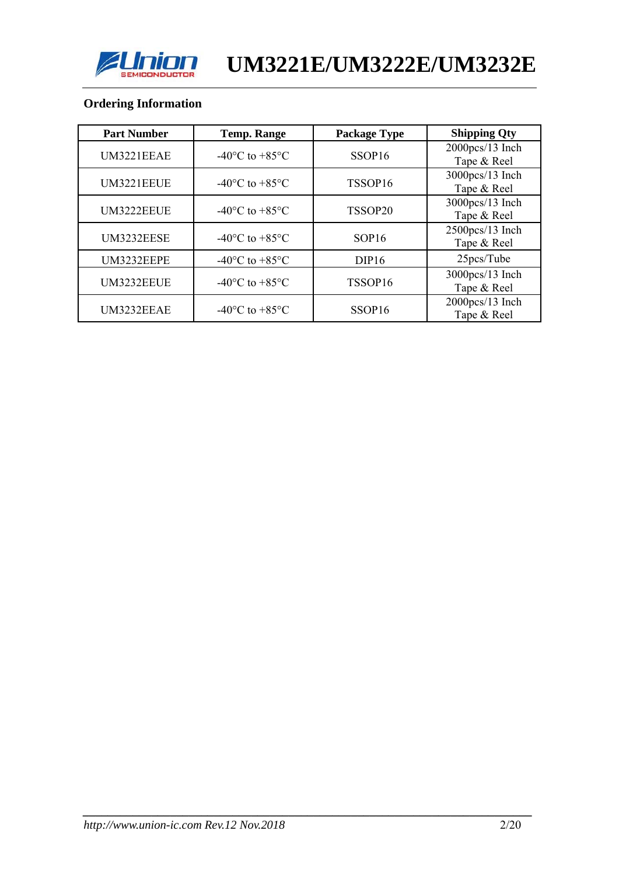

## **Ordering Information**

| <b>Part Number</b> | <b>Temp. Range</b>                           | <b>Package Type</b> | <b>Shipping Qty</b>               |
|--------------------|----------------------------------------------|---------------------|-----------------------------------|
| UM3221EEAE         | $-40^{\circ}$ C to $+85^{\circ}$ C           | SSOP <sub>16</sub>  | 2000pcs/13 Inch<br>Tape & Reel    |
| UM3221EEUE         | $-40^{\circ}$ C to $+85^{\circ}$ C           | TSSOP16             | 3000pcs/13 Inch<br>Tape & Reel    |
| UM3222EEUE         | $-40^{\circ}$ C to $+85^{\circ}$ C           | TSSOP20             | 3000pcs/13 Inch<br>Tape & Reel    |
| UM3232EESE         | $-40^{\circ}$ C to $+85^{\circ}$ C           | SOP16               | 2500pcs/13 Inch<br>Tape & Reel    |
| UM3232EEPE         | -40 $\rm{^{\circ}C}$ to +85 $\rm{^{\circ}C}$ | DIP16               | 25pcs/Tube                        |
| UM3232EEUE         | $-40^{\circ}$ C to $+85^{\circ}$ C           | TSSOP16             | 3000pcs/13 Inch<br>Tape & Reel    |
| UM3232EEAE         | -40 $\rm{^{\circ}C}$ to +85 $\rm{^{\circ}C}$ | SSOP <sub>16</sub>  | $2000$ pcs/13 Inch<br>Tape & Reel |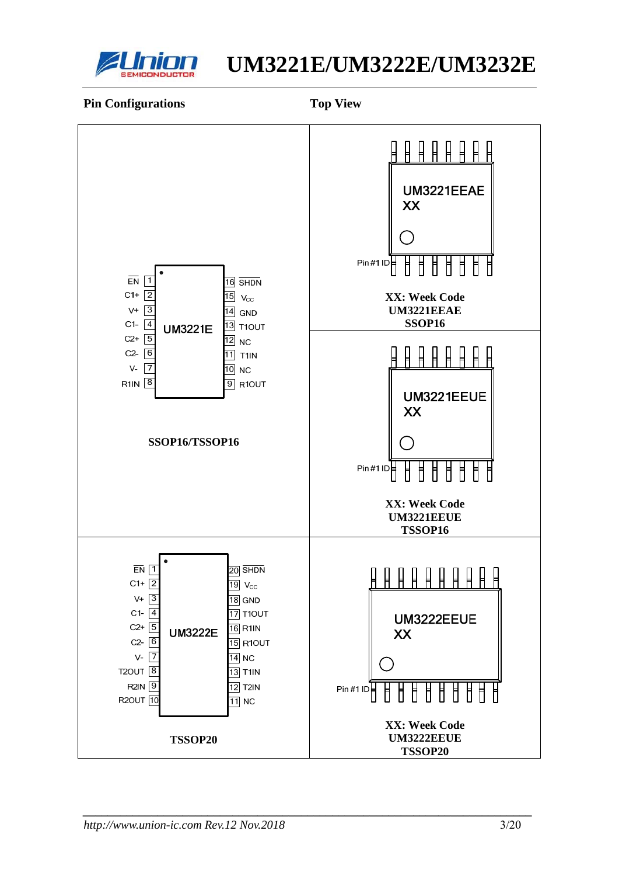

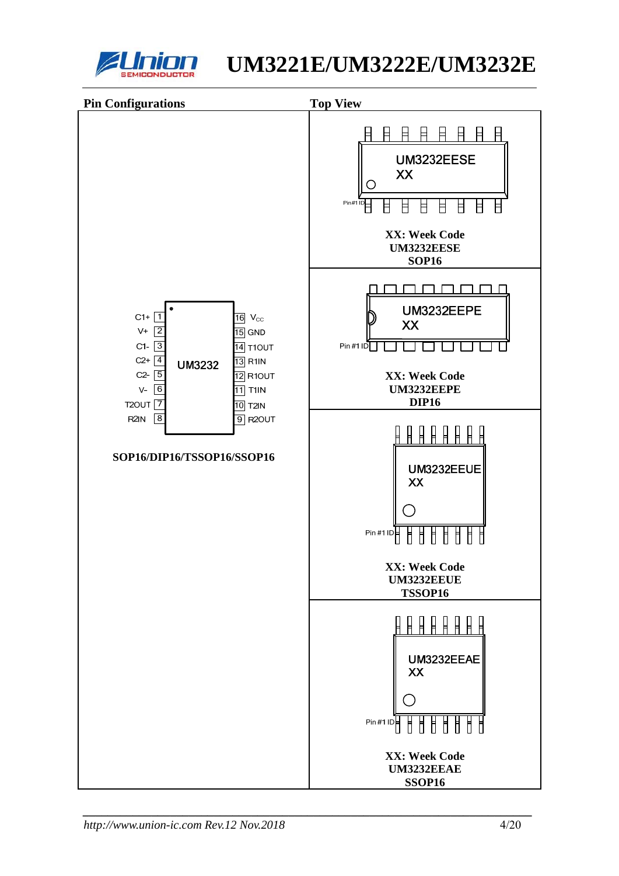

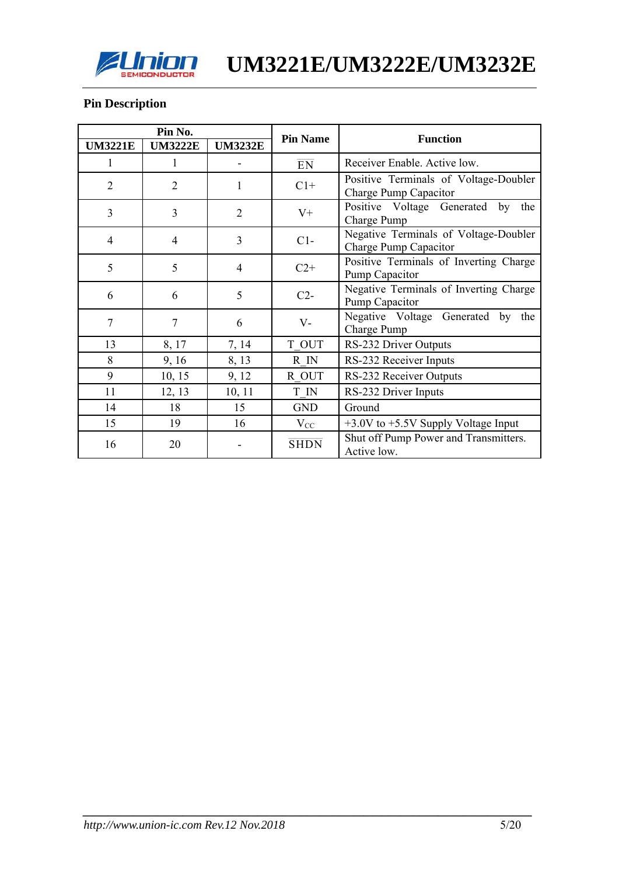

## **Pin Description**

|                | Pin No.        |                | <b>Pin Name</b> | <b>Function</b>                                                |  |  |  |  |
|----------------|----------------|----------------|-----------------|----------------------------------------------------------------|--|--|--|--|
| <b>UM3221E</b> | <b>UM3222E</b> | <b>UM3232E</b> |                 |                                                                |  |  |  |  |
| 1              | 1              |                | $\overline{EN}$ | Receiver Enable. Active low.                                   |  |  |  |  |
| $\overline{2}$ | $\overline{2}$ | 1              | $C1+$           | Positive Terminals of Voltage-Doubler<br>Charge Pump Capacitor |  |  |  |  |
| 3              | 3              | 2              | $V^+$           | Positive Voltage Generated<br>by<br>the<br>Charge Pump         |  |  |  |  |
| $\overline{4}$ | 4              | 3              | $C1-$           | Negative Terminals of Voltage-Doubler<br>Charge Pump Capacitor |  |  |  |  |
| 5              | 5              | 4              | $C2+$           | Positive Terminals of Inverting Charge<br>Pump Capacitor       |  |  |  |  |
| 6              | 6              | 5              | $C2-$           | Negative Terminals of Inverting Charge<br>Pump Capacitor       |  |  |  |  |
| $\overline{7}$ | 7              | 6              | $V -$           | Negative Voltage Generated by the<br>Charge Pump               |  |  |  |  |
| 13             | 8, 17          | 7, 14          | T OUT           | RS-232 Driver Outputs                                          |  |  |  |  |
| 8              | 9, 16          | 8, 13          | R IN            | RS-232 Receiver Inputs                                         |  |  |  |  |
| 9              | 10, 15         | 9, 12          | R OUT           | RS-232 Receiver Outputs                                        |  |  |  |  |
| 11             | 12, 13         | 10, 11         | T IN            | RS-232 Driver Inputs                                           |  |  |  |  |
| 14             | 18             | 15             | <b>GND</b>      | Ground                                                         |  |  |  |  |
| 15             | 19             | 16             | $V_{CC}$        | $+3.0V$ to $+5.5V$ Supply Voltage Input                        |  |  |  |  |
| 16             | 20             |                | <b>SHDN</b>     | Shut off Pump Power and Transmitters.<br>Active low.           |  |  |  |  |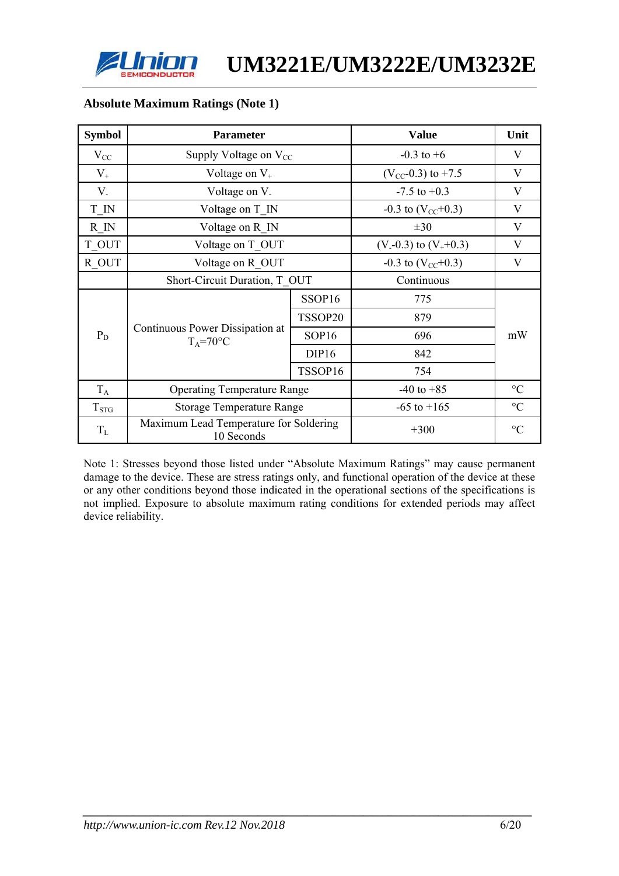

| <b>Symbol</b> | <b>Parameter</b>                                     |                                | <b>Value</b>             | Unit            |
|---------------|------------------------------------------------------|--------------------------------|--------------------------|-----------------|
| $V_{CC}$      | Supply Voltage on $V_{CC}$                           |                                | $-0.3$ to $+6$           | V               |
| $V_{+}$       | Voltage on $V_{+}$                                   |                                | $(V_{CC}$ -0.3) to +7.5  | V               |
| $V_{-}$       | Voltage on V.                                        |                                | $-7.5$ to $+0.3$         | $\bf V$         |
| T IN          | Voltage on T IN                                      |                                | $-0.3$ to $(V_{CC}+0.3)$ | V               |
| R IN          | Voltage on R IN                                      |                                | $\pm 30$                 | V               |
| T OUT         | Voltage on T OUT                                     | $(V - 0.3)$ to $(V_{+} + 0.3)$ | V                        |                 |
| R OUT         | Voltage on R OUT                                     | $-0.3$ to $(V_{CC}+0.3)$       | V                        |                 |
|               |                                                      | Short-Circuit Duration, T OUT  |                          |                 |
|               |                                                      | SSOP16                         | 775                      |                 |
|               |                                                      | TSSOP20                        | 879                      |                 |
| $P_D$         | Continuous Power Dissipation at<br>$T_A = 70$ °C     | SOP <sub>16</sub>              | 696                      | mW              |
|               |                                                      | DIP <sub>16</sub>              | 842                      |                 |
|               |                                                      | TSSOP16                        | 754                      |                 |
| $T_A$         | <b>Operating Temperature Range</b>                   | $-40$ to $+85$                 | $\rm ^{\circ}C$          |                 |
| $T_{\rm STG}$ | <b>Storage Temperature Range</b>                     |                                | $-65$ to $+165$          | $\rm ^{\circ}C$ |
| $T_{\rm L}$   | Maximum Lead Temperature for Soldering<br>10 Seconds |                                | $+300$                   | $\rm ^{\circ}C$ |

#### **Absolute Maximum Ratings (Note 1)**

Note 1: Stresses beyond those listed under "Absolute Maximum Ratings" may cause permanent damage to the device. These are stress ratings only, and functional operation of the device at these or any other conditions beyond those indicated in the operational sections of the specifications is not implied. Exposure to absolute maximum rating conditions for extended periods may affect device reliability.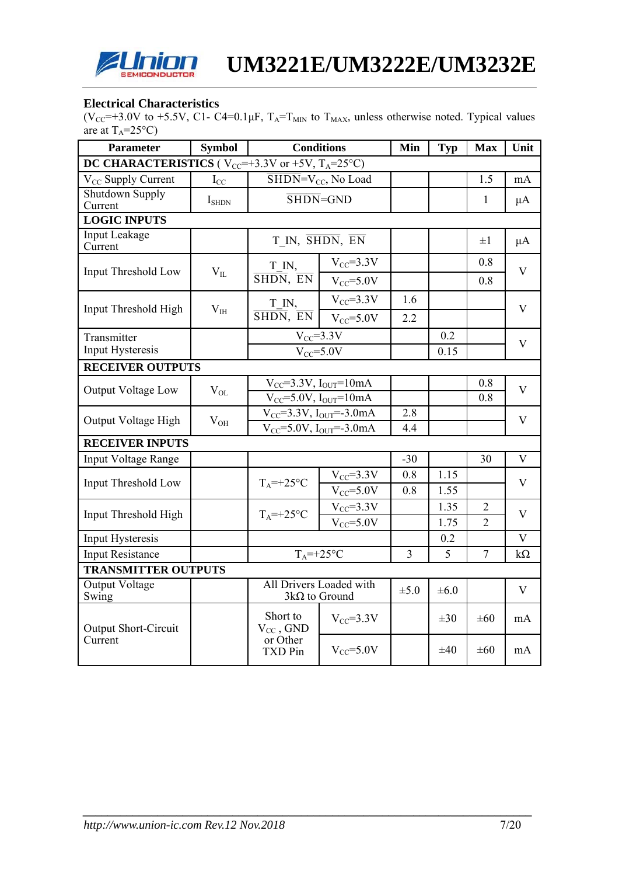

#### **Electrical Characteristics**

(V<sub>CC</sub>=+3.0V to +5.5V, C1- C4=0.1 $\mu$ F, T<sub>A</sub>=T<sub>MIN</sub> to T<sub>MAX</sub>, unless otherwise noted. Typical values are at  $T_A = 25^{\circ}C$ )

| <b>Parameter</b>                                                   | <b>Symbol</b>              | <b>Conditions</b>                               | Min                                                 | <b>Typ</b> | <b>Max</b> | Unit           |                         |
|--------------------------------------------------------------------|----------------------------|-------------------------------------------------|-----------------------------------------------------|------------|------------|----------------|-------------------------|
| DC CHARACTERISTICS ( $V_{CC}$ =+3.3V or +5V, T <sub>A</sub> =25°C) |                            |                                                 |                                                     |            |            |                |                         |
| V <sub>CC</sub> Supply Current                                     | $\mathbf{I}_{\mathrm{CC}}$ |                                                 | $\overline{\text{SHDN}}$ =V <sub>CC</sub> , No Load |            |            | 1.5            | mA                      |
| Shutdown Supply<br>Current                                         | $I_{\text{SHDN}}$          | $\overline{\text{SHDN}}$ = GND                  |                                                     |            |            | 1              | $\mu A$                 |
| <b>LOGIC INPUTS</b>                                                |                            |                                                 |                                                     |            |            |                |                         |
| Input Leakage<br>Current                                           |                            | T IN, SHDN, EN                                  |                                                     |            |            | $\pm 1$        | $\mu A$                 |
| <b>Input Threshold Low</b>                                         |                            | T IN,                                           | $V_{CC} = 3.3V$                                     |            |            | 0.8            | V                       |
|                                                                    | $V_{IL}$                   | SHDN, EN                                        | $V_{CC} = 5.0V$                                     |            |            | 0.8            |                         |
|                                                                    |                            | T IN,                                           | $V_{CC} = 3.3V$                                     | 1.6        |            |                |                         |
| Input Threshold High                                               | $V_{IH}$                   | $\overline{\text{SHDN}}, \overline{\text{EN}}$  | $V_{CC} = 5.0V$                                     | 2.2        |            |                | V                       |
| Transmitter                                                        |                            |                                                 | $V_{CC} = 3.3V$                                     |            | 0.2        |                | $\mathbf{V}$            |
| Input Hysteresis                                                   |                            | $V_{CC} = 5.0V$                                 |                                                     |            | 0.15       |                |                         |
| <b>RECEIVER OUTPUTS</b>                                            |                            |                                                 |                                                     |            |            |                |                         |
| Output Voltage Low                                                 | $V_{OL}$                   | $V_{CC}$ =3.3V, $I_{OUT}$ =10mA                 |                                                     |            | 0.8        | V              |                         |
|                                                                    |                            | $V_{CC} = 5.0V$ , $I_{OUT} = 10mA$              |                                                     |            | 0.8        |                |                         |
| Output Voltage High                                                | $V_{OH}$                   |                                                 | $V_{CC} = 3.3V$ , $I_{OUT} = -3.0mA$                | 2.8        |            |                | $\mathbf{V}$            |
|                                                                    |                            |                                                 | $V_{CC} = 5.0V, I_{OUT} = -3.0mA$                   | 4.4        |            |                |                         |
| <b>RECEIVER INPUTS</b>                                             |                            |                                                 |                                                     |            |            |                |                         |
| <b>Input Voltage Range</b>                                         |                            |                                                 |                                                     | $-30$      |            | 30             | $\overline{\mathsf{V}}$ |
| <b>Input Threshold Low</b>                                         |                            | $T_A = +25$ °C                                  | $V_{CC} = 3.3V$                                     | 0.8        | 1.15       |                | V                       |
|                                                                    |                            |                                                 | $V_{CC} = 5.0V$                                     | 0.8        | 1.55       |                |                         |
| Input Threshold High                                               |                            | $T_A = +25$ °C                                  | $V_{CC} = 3.3V$                                     |            | 1.35       | $\overline{2}$ | $\mathbf{V}$            |
|                                                                    |                            |                                                 | $V_{CC} = 5.0V$                                     |            | 1.75       | $\overline{2}$ |                         |
| Input Hysteresis                                                   |                            |                                                 |                                                     |            | 0.2        |                | V                       |
| <b>Input Resistance</b>                                            |                            | $T_A = +25$ °C                                  |                                                     | 3          | 5          | $\overline{7}$ | $k\Omega$               |
| <b>TRANSMITTER OUTPUTS</b>                                         |                            |                                                 |                                                     |            |            |                |                         |
| Output Voltage<br>Swing                                            |                            | All Drivers Loaded with<br>$3k\Omega$ to Ground |                                                     | $\pm 5.0$  | $\pm 6.0$  |                | $\mathbf{V}$            |
| <b>Output Short-Circuit</b>                                        |                            |                                                 | $V_{CC} = 3.3V$                                     |            | $\pm 30$   | $\pm 60$       | mA                      |
| Current                                                            |                            | or Other<br><b>TXD Pin</b>                      | $V_{CC} = 5.0V$                                     |            | $\pm 40$   | $\pm 60$       | mA                      |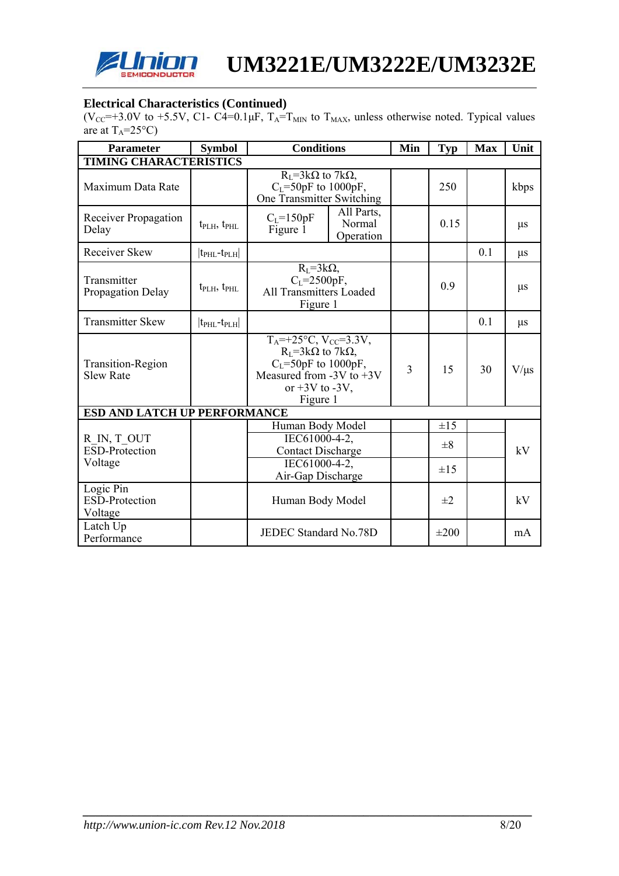

#### **Electrical Characteristics (Continued)**

 $(V_{\text{CC}} \to 3.0V$  to +5.5V, C1- C4=0.1 $\mu$ F, T<sub>A</sub>=T<sub>MIN</sub> to T<sub>MAX</sub>, unless otherwise noted. Typical values are at  $T_A = 25^{\circ}C$ )

| <b>Parameter</b>                              | <b>Symbol</b>                       | <b>Conditions</b>                                                                                                                                                         | Min                               | <b>Typ</b> | <b>Max</b> | Unit      |         |
|-----------------------------------------------|-------------------------------------|---------------------------------------------------------------------------------------------------------------------------------------------------------------------------|-----------------------------------|------------|------------|-----------|---------|
| <b>TIMING CHARACTERISTICS</b>                 |                                     |                                                                                                                                                                           |                                   |            |            |           |         |
| Maximum Data Rate                             |                                     | $R_I = 3k\Omega$ to 7k $\Omega$ ,<br>$C_L = 50pF$ to 1000pF,<br>One Transmitter Switching                                                                                 |                                   | 250        |            | kbps      |         |
| Receiver Propagation<br>Delay                 | $t_{\text{PLH}}$ , $t_{\text{PHL}}$ | $C_{L} = 150pF$<br>Figure 1                                                                                                                                               | All Parts,<br>Normal<br>Operation |            | 0.15       |           | $\mu$ s |
| Receiver Skew                                 | $ t_{\rm PHL}$ - $t_{\rm PLH} $     |                                                                                                                                                                           |                                   |            |            | 0.1       | $\mu$ s |
| Transmitter<br>Propagation Delay              | $t_{\text{PLH}}$ , $t_{\text{PHL}}$ | $R_{L} = 3k\Omega$ ,<br>$C_{L}$ =2500pF,<br><b>All Transmitters Loaded</b><br>Figure 1                                                                                    |                                   | 0.9        |            | $\mu$ s   |         |
| <b>Transmitter Skew</b>                       | $ t_{\rm PHL}$ - $t_{\rm PLH} $     |                                                                                                                                                                           |                                   |            | 0.1        | $\mu$ s   |         |
| <b>Transition-Region</b><br><b>Slew Rate</b>  |                                     | $T_A = +25$ °C, V <sub>CC</sub> =3.3V,<br>$R_I = 3k\Omega$ to 7k $\Omega$ ,<br>$C_L = 50pF$ to 1000pF,<br>Measured from $-3V$ to $+3V$<br>or $+3V$ to $-3V$ ,<br>Figure 1 | 3                                 | 15         | 30         | $V/\mu s$ |         |
| <b>ESD AND LATCH UP PERFORMANCE</b>           |                                     |                                                                                                                                                                           |                                   |            |            |           |         |
|                                               |                                     | Human Body Model                                                                                                                                                          |                                   |            | $\pm 15$   |           |         |
| R IN, T OUT<br>$E\overline{SD}$ -Protection   |                                     | IEC61000-4-2,<br><b>Contact Discharge</b>                                                                                                                                 |                                   |            | $\pm 8$    |           | kV      |
| Voltage                                       |                                     | IEC61000-4-2,<br>Air-Gap Discharge                                                                                                                                        |                                   |            | $\pm 15$   |           |         |
| Logic Pin<br><b>ESD-Protection</b><br>Voltage |                                     | Human Body Model                                                                                                                                                          |                                   | $\pm 2$    |            | kV        |         |
| Latch Up<br>Performance                       |                                     | JEDEC Standard No.78D                                                                                                                                                     |                                   | $\pm 200$  |            | mA        |         |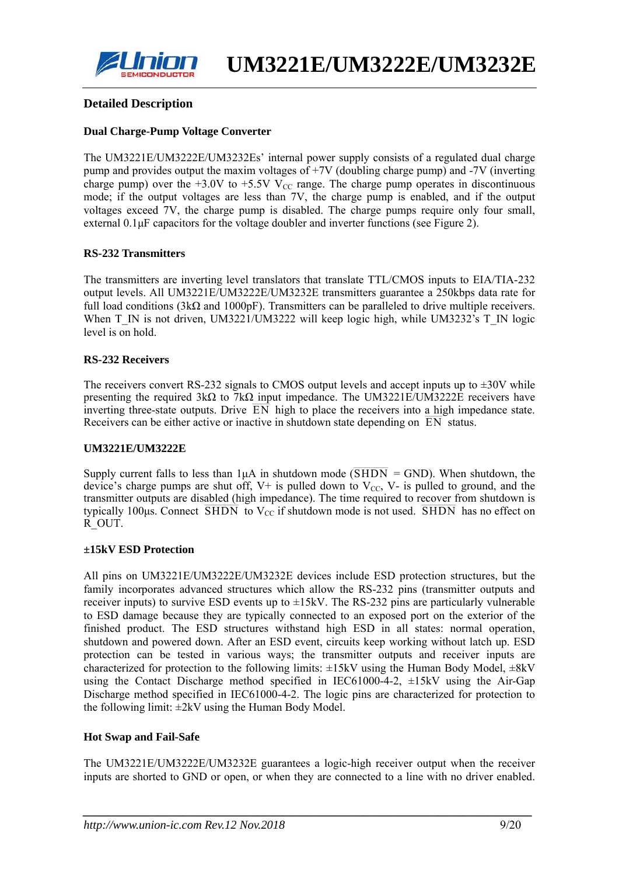

#### **Detailed Description**

#### **Dual Charge-Pump Voltage Converter**

The UM3221E/UM3222E/UM3232Es' internal power supply consists of a regulated dual charge pump and provides output the maxim voltages of +7V (doubling charge pump) and -7V (inverting charge pump) over the  $+3.0V$  to  $+5.5V$  V<sub>CC</sub> range. The charge pump operates in discontinuous mode; if the output voltages are less than 7V, the charge pump is enabled, and if the output voltages exceed 7V, the charge pump is disabled. The charge pumps require only four small, external 0.1μF capacitors for the voltage doubler and inverter functions (see Figure 2).

#### **RS-232 Transmitters**

The transmitters are inverting level translators that translate TTL/CMOS inputs to EIA/TIA-232 output levels. All UM3221E/UM3222E/UM3232E transmitters guarantee a 250kbps data rate for full load conditions (3kΩ and 1000pF). Transmitters can be paralleled to drive multiple receivers. When T\_IN is not driven, UM3221/UM3222 will keep logic high, while UM3232's T\_IN logic level is on hold.

#### **RS-232 Receivers**

The receivers convert RS-232 signals to CMOS output levels and accept inputs up to  $\pm 30V$  while presenting the required  $3k\Omega$  to  $7k\Omega$  input impedance. The UM3221E/UM3222E receivers have inverting three-state outputs. Drive  $\overline{EN}$  high to place the receivers into a high impedance state. Receivers can be either active or inactive in shutdown state depending on  $\overline{EN}$  status.

#### **UM3221E/UM3222E**

Supply current falls to less than  $1\mu A$  in shutdown mode ( $\overline{SHDN} = GND$ ). When shutdown, the device's charge pumps are shut off,  $V^+$  is pulled down to  $V_{CC}$ ,  $V^-$  is pulled to ground, and the transmitter outputs are disabled (high impedance). The time required to recover from shutdown is transmitter outputs are used. (In all inperfact). The time required to recover from shutdown is typically 100 $\mu$ s. Connect  $\overline{\text{SHDN}}$  to  $V_{CC}$  if shutdown mode is not used.  $\overline{\text{SHDN}}$  has no effect on R\_OUT.

#### **±15kV ESD Protection**

All pins on UM3221E/UM3222E/UM3232E devices include ESD protection structures, but the family incorporates advanced structures which allow the RS-232 pins (transmitter outputs and receiver inputs) to survive ESD events up to  $\pm$ 15kV. The RS-232 pins are particularly vulnerable to ESD damage because they are typically connected to an exposed port on the exterior of the finished product. The ESD structures withstand high ESD in all states: normal operation, shutdown and powered down. After an ESD event, circuits keep working without latch up. ESD protection can be tested in various ways; the transmitter outputs and receiver inputs are characterized for protection to the following limits:  $\pm 15kV$  using the Human Body Model,  $\pm 8kV$ using the Contact Discharge method specified in IEC61000-4-2, ±15kV using the Air-Gap Discharge method specified in IEC61000-4-2. The logic pins are characterized for protection to the following limit:  $\pm 2kV$  using the Human Body Model.

#### **Hot Swap and Fail-Safe**

The UM3221E/UM3222E/UM3232E guarantees a logic-high receiver output when the receiver inputs are shorted to GND or open, or when they are connected to a line with no driver enabled.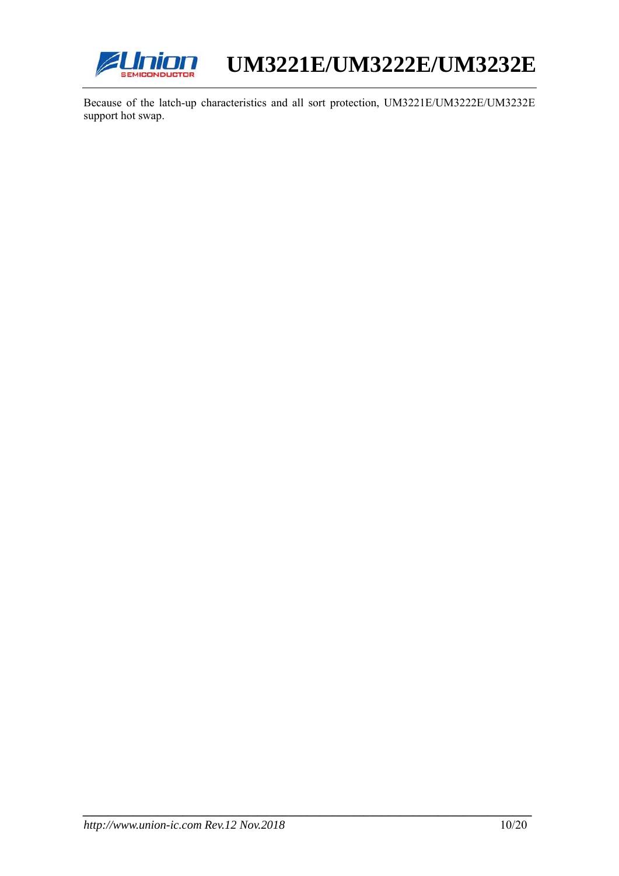

Because of the latch-up characteristics and all sort protection, UM3221E/UM3222E/UM3232E support hot swap.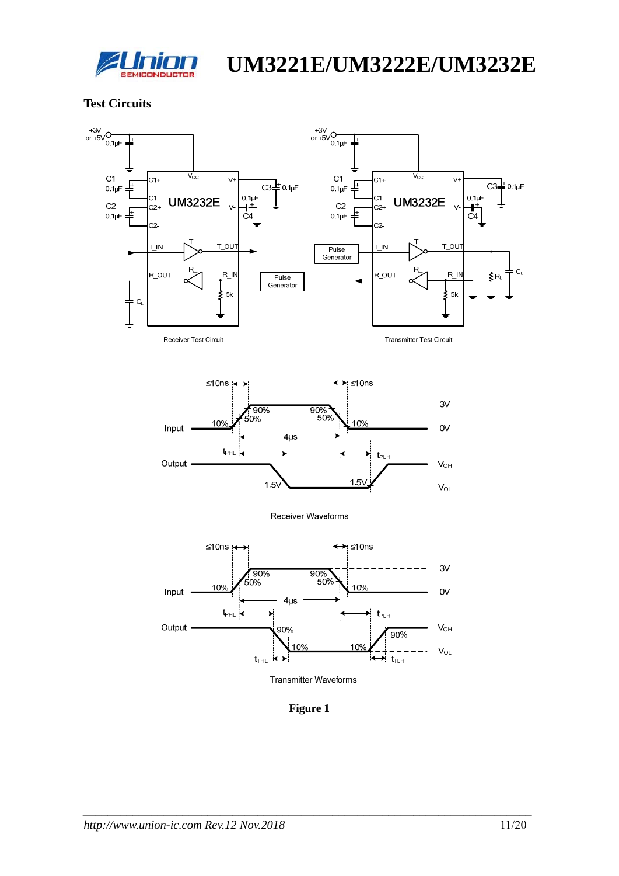

#### **Test Circuits**



**Transmitter Test Circuit** 



Receiver Waveforms



**Figure 1**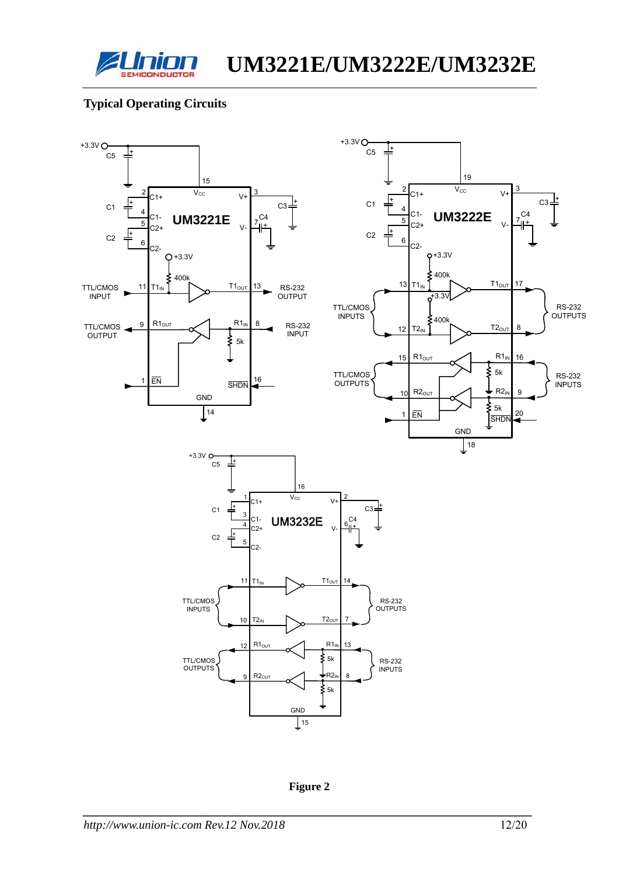

## **Typical Operating Circuits**



**Figure 2**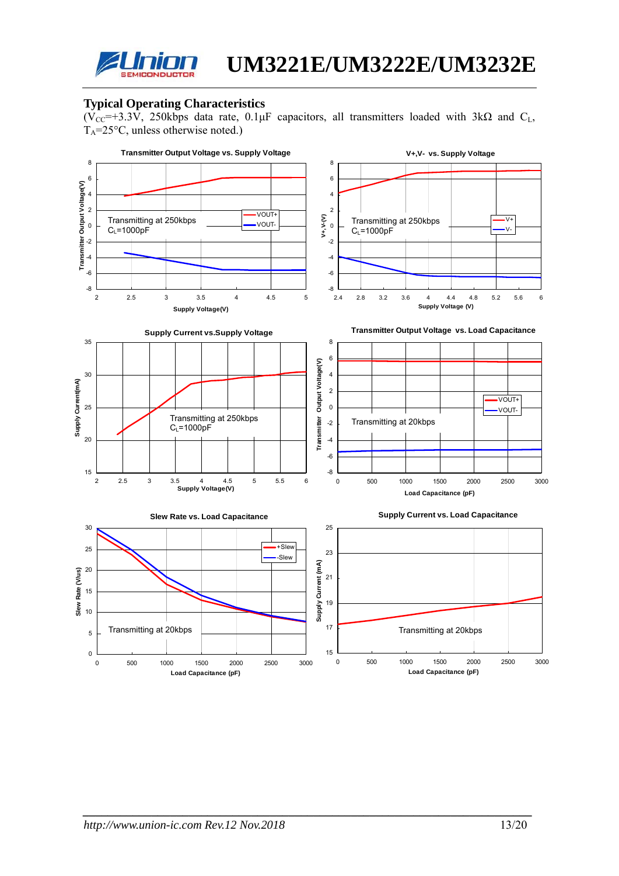

## **Typical Operating Characteristics**

 $(\overline{V_{CC}} = +3.3\overline{V})$ , 250kbps data rate, 0.1µF capacitors, all transmitters loaded with 3k $\Omega$  and C<sub>L</sub>,  $T_A = 25$ °C, unless otherwise noted.)

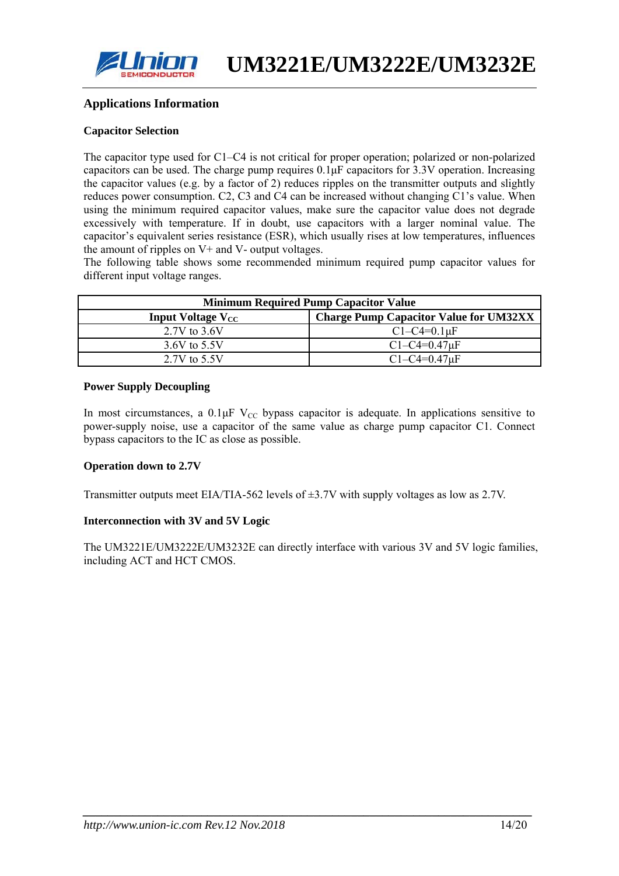

#### **Applications Information**

#### **Capacitor Selection**

The capacitor type used for C1–C4 is not critical for proper operation; polarized or non-polarized capacitors can be used. The charge pump requires 0.1μF capacitors for 3.3V operation. Increasing the capacitor values (e.g. by a factor of 2) reduces ripples on the transmitter outputs and slightly reduces power consumption. C2, C3 and C4 can be increased without changing C1's value. When using the minimum required capacitor values, make sure the capacitor value does not degrade excessively with temperature. If in doubt, use capacitors with a larger nominal value. The capacitor's equivalent series resistance (ESR), which usually rises at low temperatures, influences the amount of ripples on V+ and V- output voltages.

The following table shows some recommended minimum required pump capacitor values for different input voltage ranges.

| <b>Minimum Required Pump Capacitor Value</b> |                                               |  |  |  |  |  |
|----------------------------------------------|-----------------------------------------------|--|--|--|--|--|
| Input Voltage $V_{CC}$                       | <b>Charge Pump Capacitor Value for UM32XX</b> |  |  |  |  |  |
| $2.7V$ to $3.6V$                             | $C1 - C4 = 0.1$ uF                            |  |  |  |  |  |
| 3.6V to 5.5V                                 | $C1 - C4 = 0.47$ uF                           |  |  |  |  |  |
| 2.7V to 5.5V                                 | $C1 - C4 = 0.47$ uF                           |  |  |  |  |  |

#### **Power Supply Decoupling**

In most circumstances, a  $0.1 \mu$ F V<sub>CC</sub> bypass capacitor is adequate. In applications sensitive to power-supply noise, use a capacitor of the same value as charge pump capacitor C1. Connect bypass capacitors to the IC as close as possible.

#### **Operation down to 2.7V**

Transmitter outputs meet EIA/TIA-562 levels of ±3.7V with supply voltages as low as 2.7V.

#### **Interconnection with 3V and 5V Logic**

The UM3221E/UM3222E/UM3232E can directly interface with various 3V and 5V logic families, including ACT and HCT CMOS.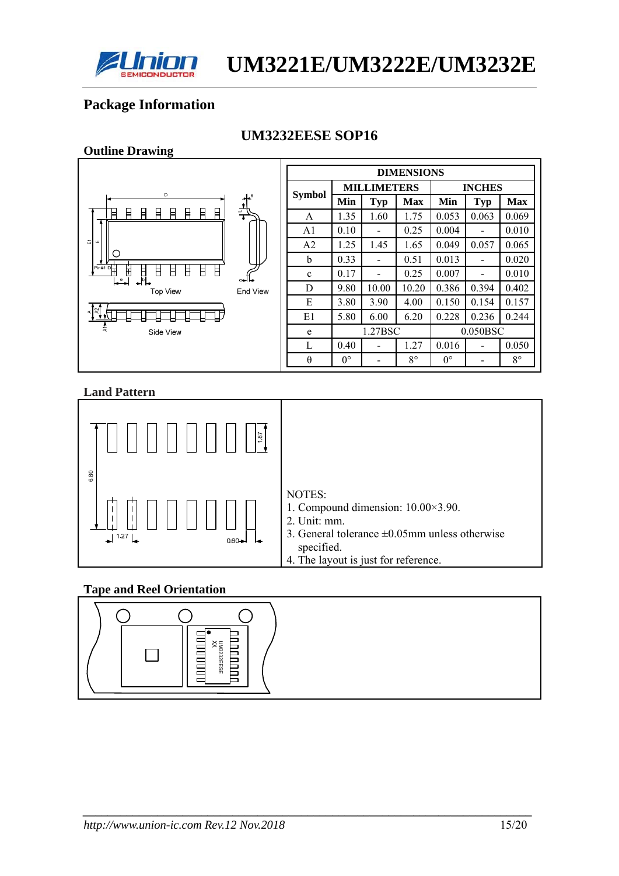

# **Package Information**

**Outline Drawing** 

## **UM3232EESE SOP16**

|                                                                                                          |                |             |                          | <b>DIMENSIONS</b> |             |                              |             |
|----------------------------------------------------------------------------------------------------------|----------------|-------------|--------------------------|-------------------|-------------|------------------------------|-------------|
|                                                                                                          |                |             | <b>MILLIMETERS</b>       |                   |             | <b>INCHES</b>                |             |
| D<br>$+^{\circ}$                                                                                         | <b>Symbol</b>  | Min         | Typ                      | <b>Max</b>        | Min         | <b>Typ</b>                   | <b>Max</b>  |
| $\frac{1}{4}$<br>A<br>目<br>A<br>日<br>日<br>Ħ<br>Ħ<br>Ħ                                                    | A              | 1.35        | 1.60                     | 1.75              | 0.053       | 0.063                        | 0.069       |
|                                                                                                          | A <sub>1</sub> | 0.10        | $\overline{\phantom{a}}$ | 0.25              | 0.004       | $\overline{\phantom{0}}$     | 0.010       |
| 靣<br>ш                                                                                                   | A2             | 1.25        | 1.45                     | 1.65              | 0.049       | 0.057                        | 0.065       |
| U                                                                                                        | b              | 0.33        | $\overline{\phantom{a}}$ | 0.51              | 0.013       | $\blacksquare$               | 0.020       |
| $\mathbb{P}^{\overline{\mathsf{in}\#1}}$<br>$\mathbb H$<br>$\mathsf H$<br>Ħ<br>붜<br>Ħ<br>Ħ<br>Ħ<br>مالده | C              | 0.17        | $\overline{\phantom{a}}$ | 0.25              | 0.007       | $\overline{\phantom{0}}$     | 0.010       |
| ا≁≞<br><b>Top View</b><br><b>End View</b>                                                                | D              | 9.80        | 10.00                    | 10.20             | 0.386       | 0.394                        | 0.402       |
|                                                                                                          | E              | 3.80        | 3.90                     | 4.00              | 0.150       | 0.154                        | 0.157       |
| [૪]<br>ď                                                                                                 | E1             | 5.80        | 6.00                     | 6.20              | 0.228       | 0.236                        | 0.244       |
| 툳<br>Side View                                                                                           | e              |             | 1.27BSC                  |                   |             | 0.050BSC                     |             |
|                                                                                                          | L              | 0.40        | $\overline{\phantom{a}}$ | 1.27              | 0.016       | $\overline{\phantom{a}}$     | 0.050       |
|                                                                                                          | $\theta$       | $0^{\circ}$ | $\overline{\phantom{a}}$ | $8^{\circ}$       | $0^{\circ}$ | $\qquad \qquad \blacksquare$ | $8^{\circ}$ |

#### **Land Pattern**



## **Tape and Reel Orientation**

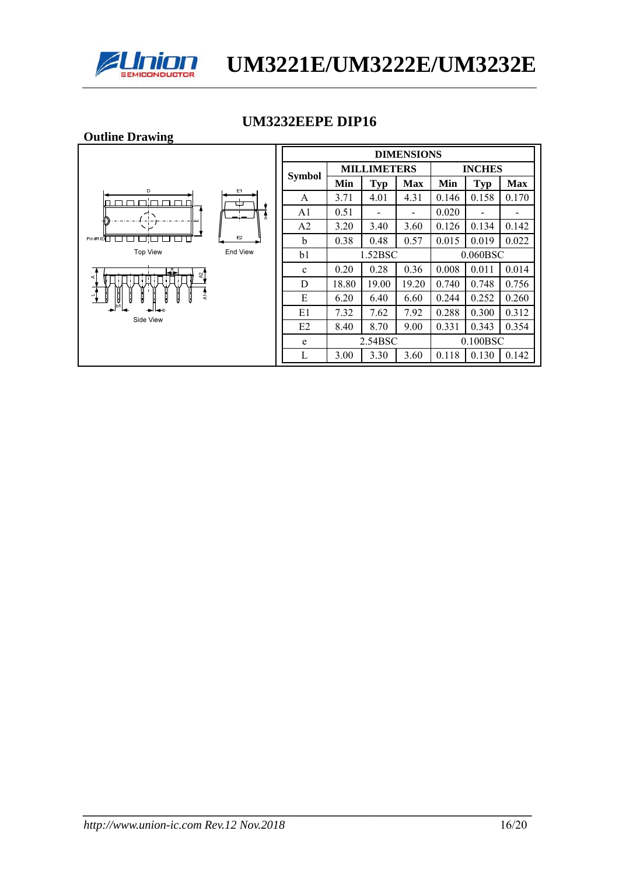

## **UM3232EEPE DIP16**

| <b>Outline Drawing</b> |          |                |       |                          |                          |       |                          |            |
|------------------------|----------|----------------|-------|--------------------------|--------------------------|-------|--------------------------|------------|
|                        |          |                |       |                          | <b>DIMENSIONS</b>        |       |                          |            |
|                        |          |                |       | <b>MILLIMETERS</b>       |                          |       | <b>INCHES</b>            |            |
| D                      | E1       | <b>Symbol</b>  | Min   | Typ                      | <b>Max</b>               | Min   | <b>Typ</b>               | <b>Max</b> |
| ח∷ר                    | پ        | A              | 3.71  | 4.01                     | 4.31                     | 0.146 | 0.158                    | 0.170      |
|                        | Å        | A1             | 0.51  | $\overline{\phantom{a}}$ | $\overline{\phantom{a}}$ | 0.020 | $\overline{\phantom{0}}$ | -          |
| ŀш<br>$\sqrt{2}r$      |          | A <sub>2</sub> | 3.20  | 3.40                     | 3.60                     | 0.126 | 0.134                    | 0.142      |
| Pin #1 ID              | E2       | b              | 0.38  | 0.48                     | 0.57                     | 0.015 | 0.019                    | 0.022      |
| <b>Top View</b>        | End View | b <sub>1</sub> |       | 1.52BSC                  |                          |       | $0.060$ BSC              |            |
| Ę.<br>খ<br>¢           |          | $\mathbf{c}$   | 0.20  | 0.28                     | 0.36                     | 0.008 | 0.011                    | 0.014      |
|                        |          | D              | 18.80 | 19.00                    | 19.20                    | 0.740 | 0.748                    | 0.756      |
| $\frac{1}{2}$<br>녧     |          | E              | 6.20  | 6.40                     | 6.60                     | 0.244 | 0.252                    | 0.260      |
| Side View              |          | E1             | 7.32  | 7.62                     | 7.92                     | 0.288 | 0.300                    | 0.312      |
|                        |          | E2             | 8.40  | 8.70                     | 9.00                     | 0.331 | 0.343                    | 0.354      |
|                        |          | e              |       | 2.54BSC                  |                          |       | 0.100BSC                 |            |
|                        |          | L              | 3.00  | 3.30                     | 3.60                     | 0.118 | 0.130                    | 0.142      |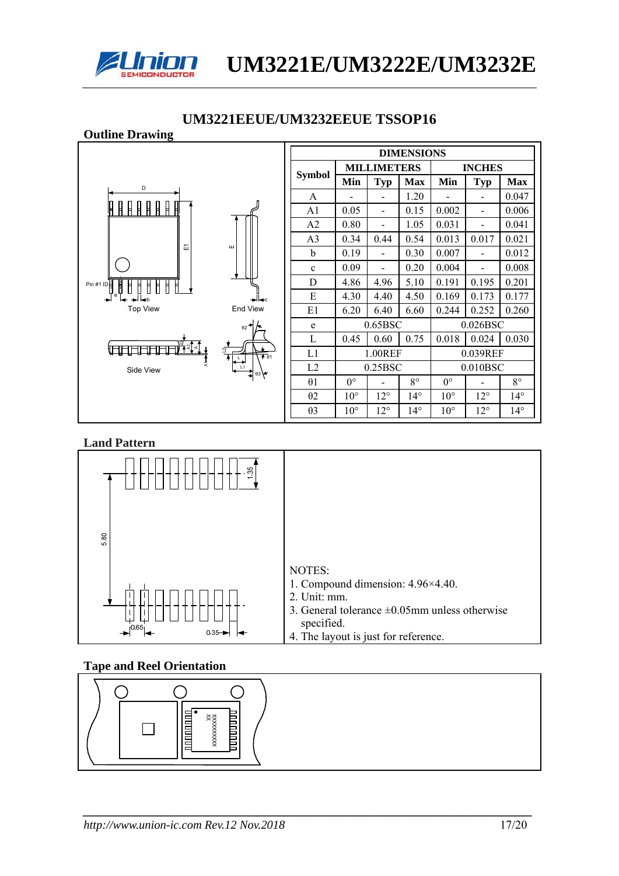

#### **Outline Drawing DIMENSIONS Symbol** MILLIMETERS INCHES **MILLIMETERS MILLIMETERS** Max Min Typ Max D A - - 1.20 - - 0.047 **ABBBBBB**  $A1 \t 0.05 \t - \t 0.15 \t 0.002 \t - \t 0.006$ A2 0.80 - 1.05 0.031 - 0.041 A3 0.34 0.44 0.54 0.013 0.017 0.021  $\overleftarrow{\text{m}}$ b  $0.19$  -  $0.30$   $0.007$  - 0.012 c  $0.09$  -  $0.20$  0.004 - 0.008 D 4.86 4.96 5.10 0.191 0.195 0.201 Pin #1 ID E 4.30 4.40 4.50 0.169 0.173 0.177 ° L−→Lb c Top View End View E1  $\begin{array}{|c|c|c|c|c|c|c|c|c|} \hline 6.20 & 6.40 & 6.60 & 0.244 & 0.252 & 0.260 \hline \end{array}$ e 0.65BSC 0.026BSC θ2 L 0.45 0.60 0.75 0.018 0.024 0.030 <del>to a control</del> L1 1.00REF 0.039REF L | |∖弁θ1 L2 0.25BSC 0.010BSC Side View L1 θ3  $\theta$ 1 0° - 8° 0° - 8° θ2 10° 12° 14° 10° 12° 14° θ3 10° 12° 14° 10° 12° 14°

## **UM3221EEUE/UM3232EEUE TSSOP16**

#### **Land Pattern**



## **Tape and Reel Orientation**

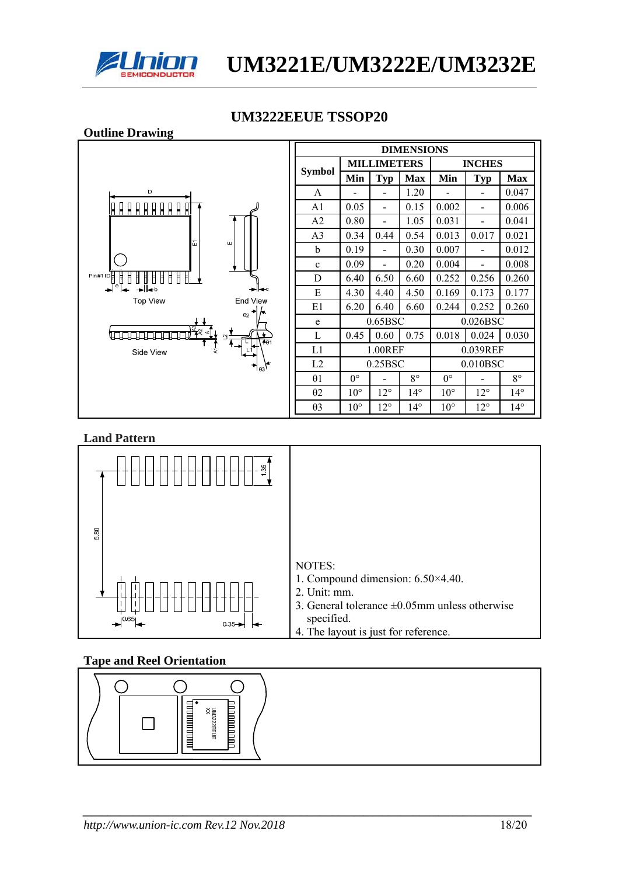

# **UM3222EEUE TSSOP20**



| <b>DIMENSIONS</b> |              |                    |              |              |               |              |  |  |
|-------------------|--------------|--------------------|--------------|--------------|---------------|--------------|--|--|
|                   |              | <b>MILLIMETERS</b> |              |              | <b>INCHES</b> |              |  |  |
| <b>Symbol</b>     | Min          | Typ                | <b>Max</b>   | Min          | <b>Typ</b>    | <b>Max</b>   |  |  |
| $\mathsf{A}$      |              |                    | 1.20         |              |               | 0.047        |  |  |
| A <sub>1</sub>    | 0.05         |                    | 0.15         | 0.002        |               | 0.006        |  |  |
| A2                | 0.80         |                    | 1.05         | 0.031        |               | 0.041        |  |  |
| A <sub>3</sub>    | 0.34         | 0.44               | 0.54         | 0.013        | 0.017         | 0.021        |  |  |
| b                 | 0.19         |                    | 0.30         | 0.007        |               | 0.012        |  |  |
| $\mathbf c$       | 0.09         |                    | 0.20         | 0.004        |               | 0.008        |  |  |
| D                 | 6.40         | 6.50               | 6.60         | 0.252        | 0.256         | 0.260        |  |  |
| E                 | 4.30         | 4.40               | 4.50         | 0.169        | 0.173         | 0.177        |  |  |
| E1                | 6.20         | 6.40               | 6.60         | 0.244        | 0.252         | 0.260        |  |  |
| e                 |              | 0.65BSC            |              |              | 0.026BSC      |              |  |  |
| L                 | 0.45         | 0.60               | 0.75         | 0.018        | 0.024         | 0.030        |  |  |
| L1                |              | 1.00REF            |              |              | 0.039REF      |              |  |  |
| L2                |              |                    | 0.25BSC      |              | $0.010$ BSC   |              |  |  |
| $\theta$ 1        | $0^{\circ}$  |                    | $8^{\circ}$  | $0^{\circ}$  |               | $8^{\circ}$  |  |  |
| $\theta$ 2        | $10^{\circ}$ | $12^{\circ}$       | $14^{\circ}$ | $10^{\circ}$ | $12^{\circ}$  | $14^{\circ}$ |  |  |
| $\theta$ 3        | $10^{\circ}$ | $12^{\circ}$       | $14^{\circ}$ | $10^{\circ}$ | $12^{\circ}$  | $14^{\circ}$ |  |  |

#### **Land Pattern**



## **Tape and Reel Orientation**

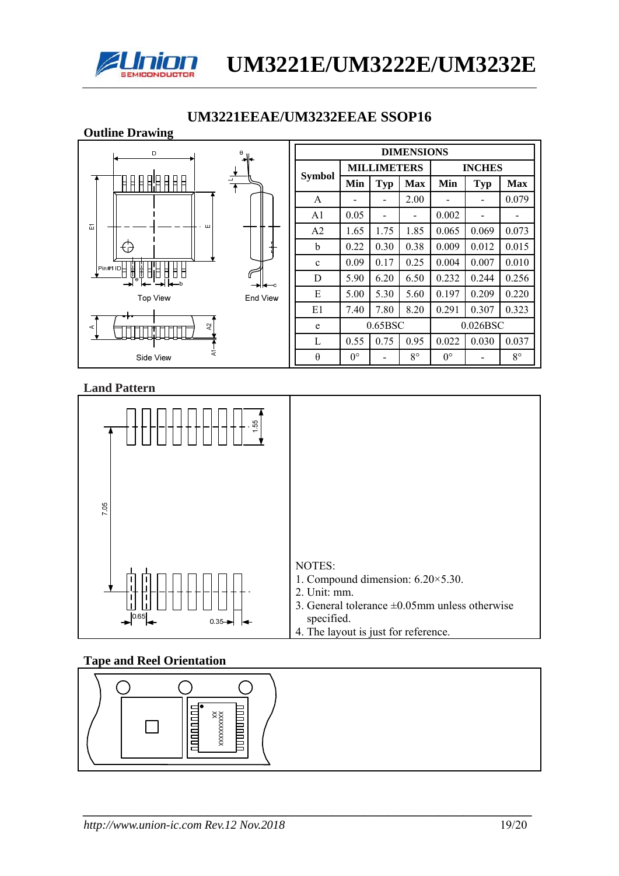

#### **Outline Drawing**  D **DIMENSIONS MILLIMETERS INCHES Symbol** -<br>月月月日日日日日  $Min$   $Typ$   $Max$   $Min$   $Typ$   $Max$ A  $\vert$  -  $\vert$  -  $\vert$  2.00  $\vert$  -  $\vert$  -  $\vert$  0.079  $A1 \t 0.05$  -  $0.002$  - $\overline{\mathbb{H}}$  $\overline{11}$ A2 | 1.65 | 1.75 | 1.85 | 0.065 | 0.069 | 0.073 b 0.22 0.30 0.38 0.009 0.012 0.015 क़ c 0.09 0.17 0.25 0.004 0.007 0.010 8 B E 8 đ D 5.90 6.20 6.50 0.232 0.244 0.256 E 5.00 5.30 5.60 0.197 0.209 0.220 **Top View** End View E1 7.40 7.80 8.20 0.291 0.307 0.323 e 0.65BSC 0.026BSC  $\overline{a}$ ╨┸┷┷ L 0.55 0.75 0.95 0.022 0.030 0.037 Side View θ  $0^{\circ}$  - 8° 0° - 8°

## **UM3221EEAE/UM3232EEAE SSOP16**

#### **Land Pattern**



## **Tape and Reel Orientation**